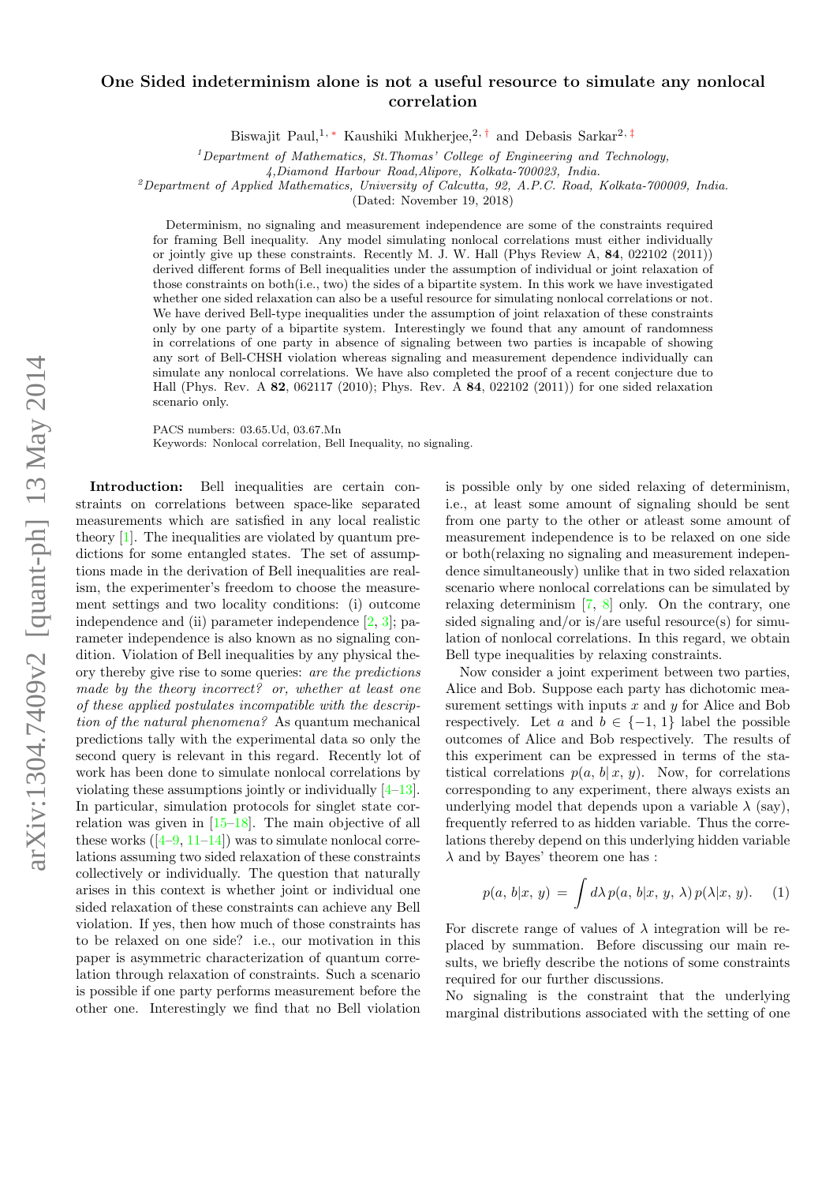## $arXiv:1304.7409v2$  [quant-ph] 13 May 2014 arXiv:1304.7409v2 [quant-ph] 13 May 2014

## One Sided indeterminism alone is not a useful resource to simulate any nonlocal correlation

Biswajit Paul,<sup>1,\*</sup> Kaushiki Mukherjee,<sup>2,[†](#page-4-1)</sup> and Debasis Sarkar<sup>2,[‡](#page-4-2)</sup>

 $1$ Department of Mathematics, St. Thomas' College of Engineering and Technology,

<sup>2</sup>Department of Applied Mathematics, University of Calcutta, 92, A.P.C. Road, Kolkata-700009, India.

(Dated: November 19, 2018)

Determinism, no signaling and measurement independence are some of the constraints required for framing Bell inequality. Any model simulating nonlocal correlations must either individually or jointly give up these constraints. Recently M. J. W. Hall (Phys Review A, 84, 022102 (2011)) derived different forms of Bell inequalities under the assumption of individual or joint relaxation of those constraints on both(i.e., two) the sides of a bipartite system. In this work we have investigated whether one sided relaxation can also be a useful resource for simulating nonlocal correlations or not. We have derived Bell-type inequalities under the assumption of joint relaxation of these constraints only by one party of a bipartite system. Interestingly we found that any amount of randomness in correlations of one party in absence of signaling between two parties is incapable of showing any sort of Bell-CHSH violation whereas signaling and measurement dependence individually can simulate any nonlocal correlations. We have also completed the proof of a recent conjecture due to Hall (Phys. Rev. A 82, 062117 (2010); Phys. Rev. A 84, 022102 (2011)) for one sided relaxation scenario only.

PACS numbers: 03.65.Ud, 03.67.Mn

Keywords: Nonlocal correlation, Bell Inequality, no signaling.

Introduction: Bell inequalities are certain constraints on correlations between space-like separated measurements which are satisfied in any local realistic theory [\[1\]](#page-4-3). The inequalities are violated by quantum predictions for some entangled states. The set of assumptions made in the derivation of Bell inequalities are realism, the experimenter's freedom to choose the measurement settings and two locality conditions: (i) outcome independence and (ii) parameter independence [\[2,](#page-4-4) [3\]](#page-4-5); parameter independence is also known as no signaling condition. Violation of Bell inequalities by any physical theory thereby give rise to some queries: are the predictions made by the theory incorrect? or, whether at least one of these applied postulates incompatible with the description of the natural phenomena? As quantum mechanical predictions tally with the experimental data so only the second query is relevant in this regard. Recently lot of work has been done to simulate nonlocal correlations by violating these assumptions jointly or individually [\[4–](#page-4-6)[13\]](#page-4-7). In particular, simulation protocols for singlet state correlation was given in [\[15–](#page-4-8)[18\]](#page-4-9). The main objective of all these works  $(4-9, 11-14)$  $(4-9, 11-14)$  $(4-9, 11-14)$  was to simulate nonlocal correlations assuming two sided relaxation of these constraints collectively or individually. The question that naturally arises in this context is whether joint or individual one sided relaxation of these constraints can achieve any Bell violation. If yes, then how much of those constraints has to be relaxed on one side? i.e., our motivation in this paper is asymmetric characterization of quantum correlation through relaxation of constraints. Such a scenario is possible if one party performs measurement before the other one. Interestingly we find that no Bell violation

is possible only by one sided relaxing of determinism, i.e., at least some amount of signaling should be sent from one party to the other or atleast some amount of measurement independence is to be relaxed on one side or both(relaxing no signaling and measurement independence simultaneously) unlike that in two sided relaxation scenario where nonlocal correlations can be simulated by relaxing determinism [\[7,](#page-4-13) [8\]](#page-4-14) only. On the contrary, one sided signaling and/or is/are useful resource(s) for simulation of nonlocal correlations. In this regard, we obtain Bell type inequalities by relaxing constraints.

Now consider a joint experiment between two parties, Alice and Bob. Suppose each party has dichotomic measurement settings with inputs  $x$  and  $y$  for Alice and Bob respectively. Let a and  $b \in \{-1, 1\}$  label the possible outcomes of Alice and Bob respectively. The results of this experiment can be expressed in terms of the statistical correlations  $p(a, b | x, y)$ . Now, for correlations corresponding to any experiment, there always exists an underlying model that depends upon a variable  $\lambda$  (say), frequently referred to as hidden variable. Thus the correlations thereby depend on this underlying hidden variable  $\lambda$  and by Bayes' theorem one has :

$$
p(a, b|x, y) = \int d\lambda \, p(a, b|x, y, \lambda) \, p(\lambda|x, y). \tag{1}
$$

For discrete range of values of  $\lambda$  integration will be replaced by summation. Before discussing our main results, we briefly describe the notions of some constraints required for our further discussions.

No signaling is the constraint that the underlying marginal distributions associated with the setting of one

<sup>4,</sup>Diamond Harbour Road,Alipore, Kolkata-700023, India.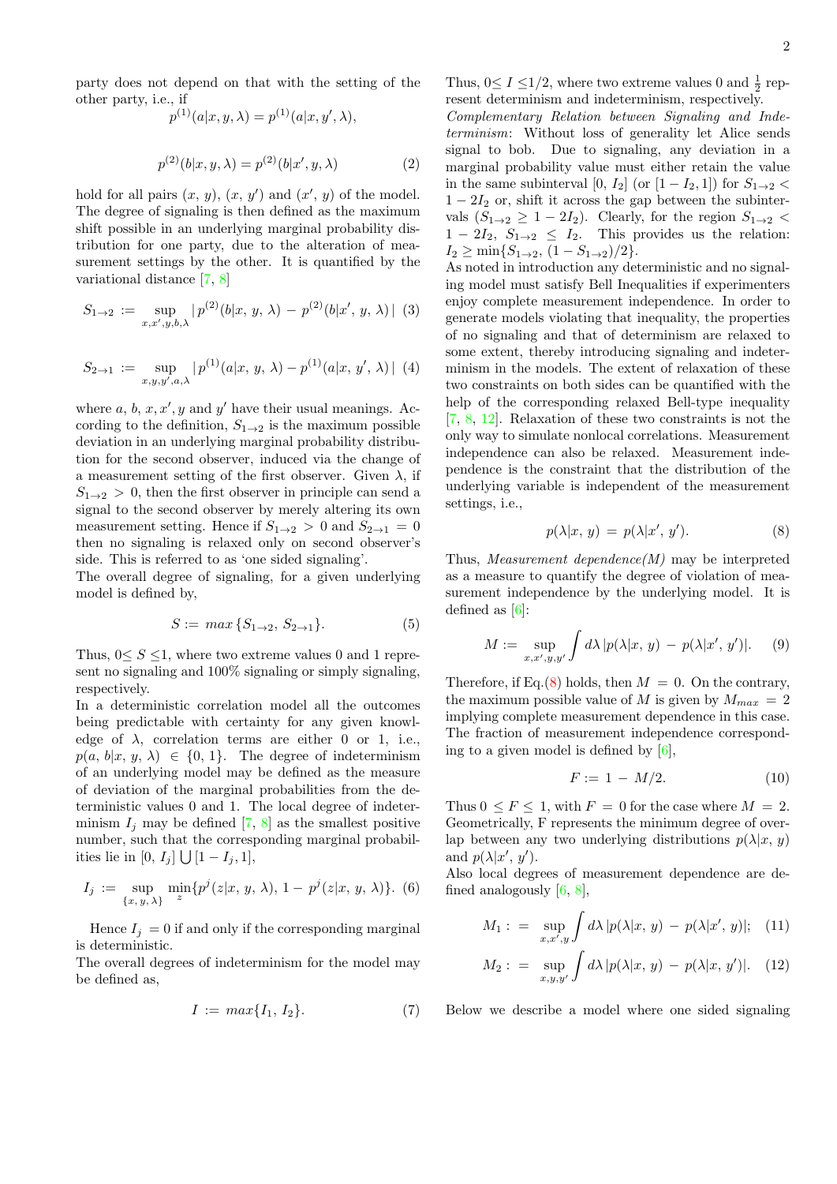$$
p^{(1)}(a|x, y, \lambda) = p^{(1)}(a|x, y', \lambda),
$$
  

$$
p^{(2)}(b|x, y, \lambda) = p^{(2)}(b|x', y, \lambda)
$$
 (2)

hold for all pairs  $(x, y)$ ,  $(x, y')$  and  $(x', y)$  of the model. The degree of signaling is then defined as the maximum shift possible in an underlying marginal probability distribution for one party, due to the alteration of measurement settings by the other. It is quantified by the variational distance [\[7,](#page-4-13) [8\]](#page-4-14)

<span id="page-1-1"></span>
$$
S_{1\to 2} := \sup_{x,x',y,b,\lambda} |p^{(2)}(b|x,y,\lambda) - p^{(2)}(b|x',y,\lambda)| \tag{3}
$$

<span id="page-1-2"></span>
$$
S_{2\to 1} := \sup_{x,y,y',a,\lambda} |p^{(1)}(a|x,y,\lambda) - p^{(1)}(a|x,y',\lambda)| \tag{4}
$$

where  $a, b, x, x', y$  and  $y'$  have their usual meanings. According to the definition,  $S_{1\rightarrow 2}$  is the maximum possible deviation in an underlying marginal probability distribution for the second observer, induced via the change of a measurement setting of the first observer. Given  $\lambda$ , if  $S_{1\rightarrow 2} > 0$ , then the first observer in principle can send a signal to the second observer by merely altering its own measurement setting. Hence if  $S_{1\rightarrow 2} > 0$  and  $S_{2\rightarrow 1} = 0$ then no signaling is relaxed only on second observer's side. This is referred to as 'one sided signaling'.

The overall degree of signaling, for a given underlying model is defined by,

$$
S := \max\{S_{1 \to 2}, S_{2 \to 1}\}.
$$
 (5)

Thus,  $0 \leq S \leq 1$ , where two extreme values 0 and 1 represent no signaling and 100% signaling or simply signaling, respectively.

In a deterministic correlation model all the outcomes being predictable with certainty for any given knowledge of  $\lambda$ , correlation terms are either 0 or 1, i.e.,  $p(a, b|x, y, \lambda) \in \{0, 1\}$ . The degree of indeterminism of an underlying model may be defined as the measure of deviation of the marginal probabilities from the deterministic values 0 and 1. The local degree of indeterminism  $I_i$  may be defined [\[7,](#page-4-13) [8\]](#page-4-14) as the smallest positive number, such that the corresponding marginal probabilities lie in  $[0, I_j] \bigcup [1 - I_j, 1],$ 

$$
I_j := \sup_{\{x, y, \lambda\}} \min_z \{ p^j(z|x, y, \lambda), 1 - p^j(z|x, y, \lambda) \}. \tag{6}
$$

Hence  $I_j = 0$  if and only if the corresponding marginal is deterministic.

The overall degrees of indeterminism for the model may be defined as,

$$
I := \max\{I_1, I_2\}.
$$
 (7)

Thus,  $0 \le I \le 1/2$ , where two extreme values 0 and  $\frac{1}{2}$  represent determinism and indeterminism, respectively.

Complementary Relation between Signaling and Indeterminism: Without loss of generality let Alice sends signal to bob. Due to signaling, any deviation in a marginal probability value must either retain the value in the same subinterval [0,  $I_2$ ] (or  $[1 - I_2, 1]$ ) for  $S_{1\rightarrow 2}$  $1 - 2I_2$  or, shift it across the gap between the subintervals  $(S_{1\rightarrow 2} \geq 1-2I_2)$ . Clearly, for the region  $S_{1\rightarrow 2}$  $1 - 2I_2$ ,  $S_{1\rightarrow 2} \leq I_2$ . This provides us the relation:  $I_2 \geq \min\{S_{1\to 2}, (1 - S_{1\to 2})/2\}.$ 

As noted in introduction any deterministic and no signaling model must satisfy Bell Inequalities if experimenters enjoy complete measurement independence. In order to generate models violating that inequality, the properties of no signaling and that of determinism are relaxed to some extent, thereby introducing signaling and indeterminism in the models. The extent of relaxation of these two constraints on both sides can be quantified with the help of the corresponding relaxed Bell-type inequality [\[7,](#page-4-13) [8,](#page-4-14) [12\]](#page-4-15). Relaxation of these two constraints is not the only way to simulate nonlocal correlations. Measurement independence can also be relaxed. Measurement independence is the constraint that the distribution of the underlying variable is independent of the measurement settings, i.e.,

<span id="page-1-0"></span>
$$
p(\lambda | x, y) = p(\lambda | x', y'). \tag{8}
$$

Thus, Measurement dependence(M) may be interpreted as a measure to quantify the degree of violation of measurement independence by the underlying model. It is defined as  $[6]$ :

$$
M := \sup_{x,x',y,y'} \int d\lambda \, |p(\lambda|x,\,y) \, - \, p(\lambda|x',\,y')|.\tag{9}
$$

Therefore, if Eq.[\(8\)](#page-1-0) holds, then  $M = 0$ . On the contrary, the maximum possible value of M is given by  $M_{max} = 2$ implying complete measurement dependence in this case. The fraction of measurement independence corresponding to a given model is defined by [\[6\]](#page-4-16),

$$
F := 1 - M/2. \tag{10}
$$

Thus  $0 \leq F \leq 1$ , with  $F = 0$  for the case where  $M = 2$ . Geometrically, F represents the minimum degree of overlap between any two underlying distributions  $p(\lambda|x, y)$ and  $p(\lambda|x', y')$ .

Also local degrees of measurement dependence are defined analogously  $[6, 8]$  $[6, 8]$  $[6, 8]$ ,

$$
M_1: = \sup_{x,x',y} \int d\lambda \, |p(\lambda|x,\,y) - p(\lambda|x',\,y)|; \quad (11)
$$

$$
M_2: = \sup_{x,y,y'} \int d\lambda \, |p(\lambda|x,\,y) - p(\lambda|x,\,y')|. \tag{12}
$$

Below we describe a model where one sided signaling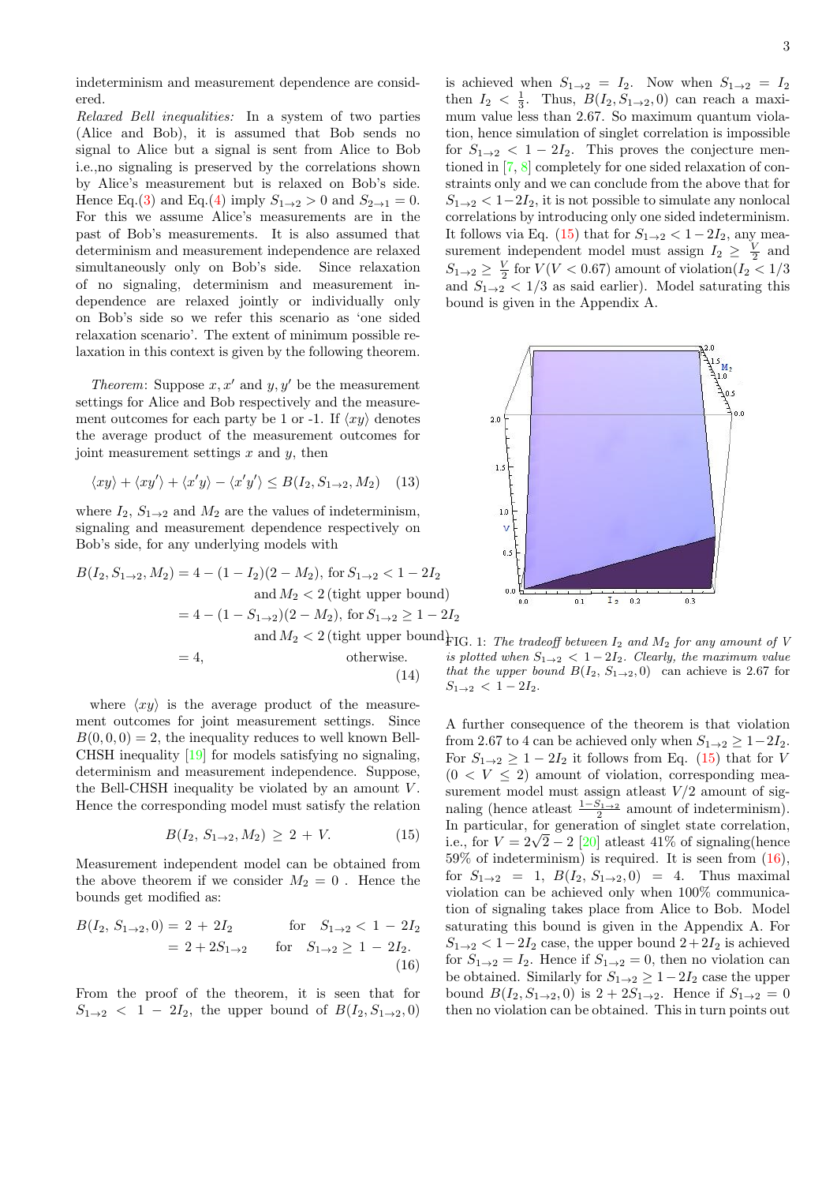indeterminism and measurement dependence are considered.

Relaxed Bell inequalities: In a system of two parties (Alice and Bob), it is assumed that Bob sends no signal to Alice but a signal is sent from Alice to Bob i.e.,no signaling is preserved by the correlations shown by Alice's measurement but is relaxed on Bob's side. Hence Eq.[\(3\)](#page-1-1) and Eq.[\(4\)](#page-1-2) imply  $S_{1\rightarrow 2} > 0$  and  $S_{2\rightarrow 1} = 0$ . For this we assume Alice's measurements are in the past of Bob's measurements. It is also assumed that determinism and measurement independence are relaxed simultaneously only on Bob's side. Since relaxation of no signaling, determinism and measurement independence are relaxed jointly or individually only on Bob's side so we refer this scenario as 'one sided relaxation scenario'. The extent of minimum possible relaxation in this context is given by the following theorem.

*Theorem:* Suppose  $x, x'$  and  $y, y'$  be the measurement settings for Alice and Bob respectively and the measurement outcomes for each party be 1 or -1. If  $\langle xy \rangle$  denotes the average product of the measurement outcomes for joint measurement settings  $x$  and  $y$ , then

<span id="page-2-3"></span>
$$
\langle xy \rangle + \langle xy' \rangle + \langle x'y \rangle - \langle x'y' \rangle \le B(I_2, S_{1 \to 2}, M_2) \quad (13)
$$

where  $I_2$ ,  $S_{1\rightarrow 2}$  and  $M_2$  are the values of indeterminism, signaling and measurement dependence respectively on Bob's side, for any underlying models with

<span id="page-2-2"></span>
$$
B(I_2, S_{1\to 2}, M_2) = 4 - (1 - I_2)(2 - M_2), \text{ for } S_{1\to 2} < 1 - 2I_2
$$
  
and  $M_2 < 2$  (tight upper bound)  

$$
= 4 - (1 - S_{1\to 2})(2 - M_2), \text{ for } S_{1\to 2} \ge 1 - 2I_2
$$
  
and  $M_2 < 2$  (tight upper bound)  

$$
= 4,
$$
 otherwise. is *p*  
(14) that

where  $\langle xy \rangle$  is the average product of the measurement outcomes for joint measurement settings. Since  $B(0, 0, 0) = 2$ , the inequality reduces to well known Bell-CHSH inequality [\[19\]](#page-4-17) for models satisfying no signaling, determinism and measurement independence. Suppose, the Bell-CHSH inequality be violated by an amount V . Hence the corresponding model must satisfy the relation

<span id="page-2-0"></span>
$$
B(I_2, S_{1 \to 2}, M_2) \ge 2 + V. \tag{15}
$$

Measurement independent model can be obtained from the above theorem if we consider  $M_2 = 0$ . Hence the bounds get modified as:

<span id="page-2-1"></span>
$$
B(I_2, S_{1\to 2}, 0) = 2 + 2I_2 \quad \text{for} \quad S_{1\to 2} < 1 - 2I_2
$$
  
= 2 + 2S<sub>1\to 2</sub> for  $S_{1\to 2} \ge 1 - 2I_2$ . (16)

From the proof of the theorem, it is seen that for  $S_{1\to 2}$  < 1 – 2I<sub>2</sub>, the upper bound of  $B(I_2, S_{1\to 2}, 0)$  is achieved when  $S_{1\rightarrow 2} = I_2$ . Now when  $S_{1\rightarrow 2} = I_2$ then  $I_2 < \frac{1}{3}$ . Thus,  $B(I_2, S_{1\rightarrow 2}, 0)$  can reach a maximum value less than 2.67. So maximum quantum violation, hence simulation of singlet correlation is impossible for  $S_{1\rightarrow 2}$  < 1 – 2 $I_2$ . This proves the conjecture mentioned in [\[7,](#page-4-13) [8\]](#page-4-14) completely for one sided relaxation of constraints only and we can conclude from the above that for  $S_{1\rightarrow 2} < 1-2I_2$ , it is not possible to simulate any nonlocal correlations by introducing only one sided indeterminism. It follows via Eq. [\(15\)](#page-2-0) that for  $S_{1\rightarrow 2} < 1-2I_2$ , any measurement independent model must assign  $I_2 \geq \frac{V}{2}$  and  $S_{1\rightarrow 2} \geq \frac{V}{2}$  for  $V(V < 0.67)$  amount of violation $(I_2 < 1/3)$ and  $S_{1\rightarrow 2}$  < 1/3 as said earlier). Model saturating this bound is given in the Appendix A.



 $G. 1:$  The tradeoff between  $I_2$  and  $M_2$  for any amount of V is plotted when  $S_{1\rightarrow 2}$   $<$  1 – 2I<sub>2</sub>. Clearly, the maximum value t the upper bound  $B(I_2, S_{1\rightarrow 2}, 0)$  can achieve is 2.67 for  $S_{1\rightarrow 2}$  < 1 – 2 $I_2$ .

A further consequence of the theorem is that violation from 2.67 to 4 can be achieved only when  $S_{1\rightarrow 2} \geq 1-2I_2$ . For  $S_{1\rightarrow 2} \geq 1-2I_2$  it follows from Eq. [\(15\)](#page-2-0) that for V  $(0 \lt V \leq 2)$  amount of violation, corresponding measurement model must assign at<br>least  $V/2$  amount of signaling (hence at least  $\frac{1-S_{1\rightarrow 2}}{2}$  amount of indeterminism). In particular, for generation of singlet state correlation, i.e., for  $V = 2\sqrt{2} - 2$  [\[20\]](#page-4-18) at least 41% of signaling (hence  $59\%$  of indeterminism) is required. It is seen from  $(16)$ , for  $S_{1\to 2} = 1$ ,  $B(I_2, S_{1\to 2}, 0) = 4$ . Thus maximal violation can be achieved only when 100% communication of signaling takes place from Alice to Bob. Model saturating this bound is given in the Appendix A. For  $S_{1\rightarrow 2} < 1-2I_2$  case, the upper bound  $2+2I_2$  is achieved for  $S_{1\rightarrow 2} = I_2$ . Hence if  $S_{1\rightarrow 2} = 0$ , then no violation can be obtained. Similarly for  $S_{1\rightarrow 2} \geq 1-2I_2$  case the upper bound  $B(I_2, S_{1\to 2}, 0)$  is  $2 + 2S_{1\to 2}$ . Hence if  $S_{1\to 2} = 0$ then no violation can be obtained. This in turn points out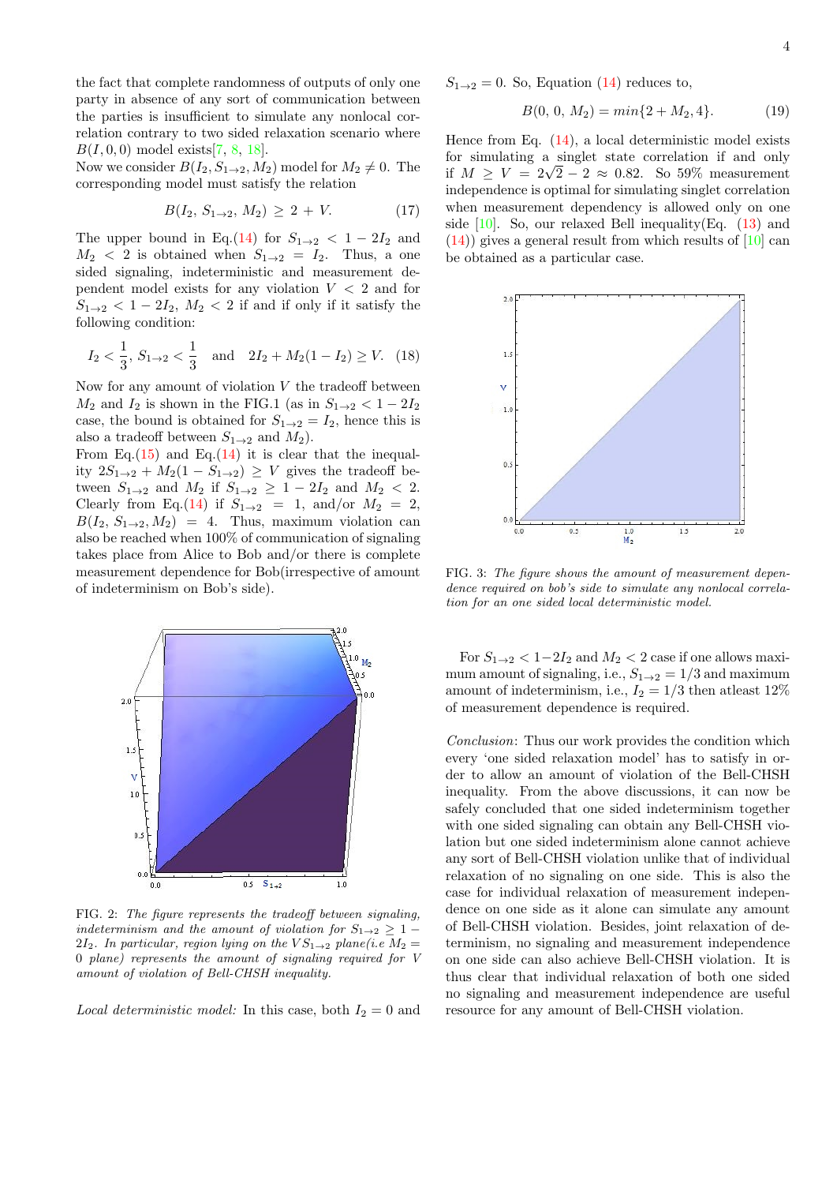4

the fact that complete randomness of outputs of only one party in absence of any sort of communication between the parties is insufficient to simulate any nonlocal correlation contrary to two sided relaxation scenario where  $B(I, 0, 0)$  model exists[\[7,](#page-4-13) [8,](#page-4-14) [18\]](#page-4-9).

Now we consider  $B(I_2, S_1\rightarrow 2, M_2)$  model for  $M_2 \neq 0$ . The corresponding model must satisfy the relation

$$
B(I_2, S_{1 \to 2}, M_2) \ge 2 + V. \tag{17}
$$

The upper bound in Eq.[\(14\)](#page-2-2) for  $S_{1\rightarrow 2} < 1-2I_2$  and  $M_2 < 2$  is obtained when  $S_{1\rightarrow 2} = I_2$ . Thus, a one sided signaling, indeterministic and measurement dependent model exists for any violation  $V < 2$  and for  $S_{1\rightarrow 2}$  < 1 – 2 $I_2$ ,  $M_2$  < 2 if and if only if it satisfy the following condition:

$$
I_2 < \frac{1}{3}
$$
,  $S_{1\to 2} < \frac{1}{3}$  and  $2I_2 + M_2(1 - I_2) \ge V$ . (18)

Now for any amount of violation  $V$  the tradeoff between  $M_2$  and  $I_2$  is shown in the FIG.1 (as in  $S_{1\rightarrow 2} < 1-2I_2$ ) case, the bound is obtained for  $S_{1\rightarrow 2} = I_2$ , hence this is also a tradeoff between  $S_{1\rightarrow 2}$  and  $M_2$ ).

From Eq.[\(15\)](#page-2-0) and Eq.[\(14\)](#page-2-2) it is clear that the inequality  $2S_{1\rightarrow 2} + M_2(1 - S_{1\rightarrow 2}) \geq V$  gives the tradeoff between  $S_{1\to 2}$  and  $M_2$  if  $S_{1\to 2}$   $\geq 1 - 2I_2$  and  $M_2 < 2$ . Clearly from Eq.[\(14\)](#page-2-2) if  $S_{1\rightarrow 2}$  = 1, and/or  $M_2$  = 2,  $B(I_2, S_{1\rightarrow 2}, M_2) = 4$ . Thus, maximum violation can also be reached when 100% of communication of signaling takes place from Alice to Bob and/or there is complete measurement dependence for Bob(irrespective of amount of indeterminism on Bob's side).



FIG. 2: The figure represents the tradeoff between signaling, indeterminism and the amount of violation for  $S_{1\rightarrow 2} \geq 1$  – 2I<sub>2</sub>. In particular, region lying on the  $VS_{1\rightarrow2}$  plane(i.e  $M_2 =$ 0 plane) represents the amount of signaling required for V amount of violation of Bell-CHSH inequality.

*Local deterministic model:* In this case, both  $I_2 = 0$  and

 $S_{1\rightarrow 2}=0$ . So, Equation [\(14\)](#page-2-2) reduces to,

$$
B(0, 0, M_2) = min\{2 + M_2, 4\}.
$$
 (19)

Hence from Eq.  $(14)$ , a local deterministic model exists for simulating a singlet state correlation if and only for simulating a singlet state correlation if and only if  $M \geq V = 2\sqrt{2} - 2 \approx 0.82$ . So 59% measurement independence is optimal for simulating singlet correlation when measurement dependency is allowed only on one side  $[10]$ . So, our relaxed Bell inequality(Eq.  $(13)$  and  $(14)$ ) gives a general result from which results of [\[10\]](#page-4-19) can be obtained as a particular case.



FIG. 3: The figure shows the amount of measurement dependence required on bob's side to simulate any nonlocal correlation for an one sided local deterministic model.

For  $S_{1\rightarrow 2} < 1-2I_2$  and  $M_2 < 2$  case if one allows maximum amount of signaling, i.e.,  $S_{1\rightarrow 2} = 1/3$  and maximum amount of indeterminism, i.e.,  $I_2 = 1/3$  then at least  $12\%$ of measurement dependence is required.

Conclusion: Thus our work provides the condition which every 'one sided relaxation model' has to satisfy in order to allow an amount of violation of the Bell-CHSH inequality. From the above discussions, it can now be safely concluded that one sided indeterminism together with one sided signaling can obtain any Bell-CHSH violation but one sided indeterminism alone cannot achieve any sort of Bell-CHSH violation unlike that of individual relaxation of no signaling on one side. This is also the case for individual relaxation of measurement independence on one side as it alone can simulate any amount of Bell-CHSH violation. Besides, joint relaxation of determinism, no signaling and measurement independence on one side can also achieve Bell-CHSH violation. It is thus clear that individual relaxation of both one sided no signaling and measurement independence are useful resource for any amount of Bell-CHSH violation.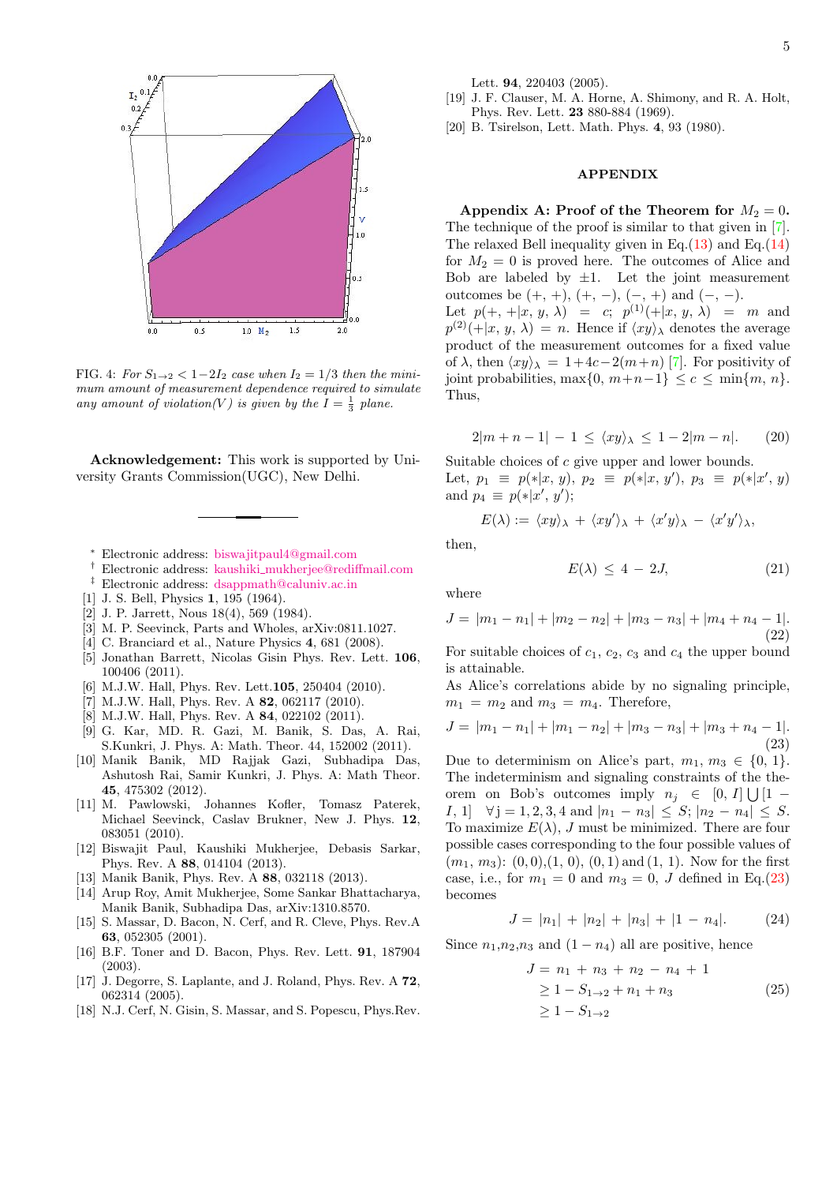

FIG. 4: For  $S_{1\rightarrow 2} < 1-2I_2$  case when  $I_2 = 1/3$  then the minimum amount of measurement dependence required to simulate any amount of violation(V) is given by the  $I = \frac{1}{3}$  plane.

Acknowledgement: This work is supported by University Grants Commission(UGC), New Delhi.

- <span id="page-4-0"></span><sup>∗</sup> Electronic address: [biswajitpaul4@gmail.com](mailto:biswajitpaul4@gmail.com)
- <span id="page-4-1"></span>† Electronic address: kaushiki [mukherjee@rediffmail.com](mailto:kaushiki_mukherjee@rediffmail.com)
- <span id="page-4-2"></span>‡ Electronic address: [dsappmath@caluniv.ac.in](mailto:dsappmath@caluniv.ac.in)
- <span id="page-4-3"></span>[1] J. S. Bell, Physics **1**, 195 (1964).
- <span id="page-4-4"></span>[2] J. P. Jarrett, Nous 18(4), 569 (1984).
- <span id="page-4-5"></span>[3] M. P. Seevinck, Parts and Wholes, arXiv:0811.1027.
- <span id="page-4-6"></span>[4] C. Branciard et al., Nature Physics 4, 681 (2008).
- [5] Jonathan Barrett, Nicolas Gisin Phys. Rev. Lett. 106, 100406 (2011).
- <span id="page-4-16"></span>[6] M.J.W. Hall, Phys. Rev. Lett. **105**, 250404 (2010).<br>[7] M.J.W. Hall, Phys. Rev. A **82**, 062117 (2010).
- <span id="page-4-13"></span>M.J.W. Hall, Phys. Rev. A 82, 062117 (2010).
- <span id="page-4-14"></span>[8] M.J.W. Hall, Phys. Rev. A **84**, 022102 (2011).
- <span id="page-4-10"></span>[9] G. Kar, MD. R. Gazi, M. Banik, S. Das, A. Rai, S.Kunkri, J. Phys. A: Math. Theor. 44, 152002 (2011).
- <span id="page-4-19"></span>[10] Manik Banik, MD Rajjak Gazi, Subhadipa Das, Ashutosh Rai, Samir Kunkri, J. Phys. A: Math Theor. 45, 475302 (2012).
- <span id="page-4-11"></span>[11] M. Pawlowski, Johannes Kofler, Tomasz Paterek, Michael Seevinck, Caslav Brukner, New J. Phys. 12, 083051 (2010).
- <span id="page-4-15"></span>[12] Biswajit Paul, Kaushiki Mukherjee, Debasis Sarkar, Phys. Rev. A 88, 014104 (2013).
- <span id="page-4-7"></span>[13] Manik Banik, Phys. Rev. A 88, 032118 (2013).
- <span id="page-4-12"></span>[14] Arup Roy, Amit Mukherjee, Some Sankar Bhattacharya, Manik Banik, Subhadipa Das, arXiv:1310.8570.
- <span id="page-4-8"></span>[15] S. Massar, D. Bacon, N. Cerf, and R. Cleve, Phys. Rev.A 63, 052305 (2001).
- [16] B.F. Toner and D. Bacon, Phys. Rev. Lett. 91, 187904 (2003).
- [17] J. Degorre, S. Laplante, and J. Roland, Phys. Rev. A 72, 062314 (2005).
- <span id="page-4-9"></span>[18] N.J. Cerf, N. Gisin, S. Massar, and S. Popescu, Phys.Rev.

Lett. 94, 220403 (2005).

- <span id="page-4-17"></span>[19] J. F. Clauser, M. A. Horne, A. Shimony, and R. A. Holt, Phys. Rev. Lett. 23 880-884 (1969).
- <span id="page-4-18"></span>[20] B. Tsirelson, Lett. Math. Phys. 4, 93 (1980).

## APPENDIX

Appendix A: Proof of the Theorem for  $M_2 = 0$ . The technique of the proof is similar to that given in [\[7\]](#page-4-13). The relaxed Bell inequality given in Eq. $(13)$  and Eq. $(14)$ for  $M_2 = 0$  is proved here. The outcomes of Alice and Bob are labeled by  $\pm 1$ . Let the joint measurement outcomes be  $(+, +), (+, -), (-, +)$  and  $(-, -)$ . Let  $p(+, +|x, y, \lambda) = c$ ;  $p^{(1)}(+|x, y, \lambda) = m$  and  $p^{(2)}(+|x, y, \lambda) = n.$  Hence if  $\langle xy \rangle_{\lambda}$  denotes the average product of the measurement outcomes for a fixed value

of  $\lambda$ , then  $\langle xy \rangle_{\lambda} = 1+ 4c-2(m+n)$  [\[7\]](#page-4-13). For positivity of joint probabilities, max $\{0, m+n-1\} \leq c \leq \min\{m, n\}.$ 

<span id="page-4-22"></span>
$$
2|m+n-1| - 1 \le \langle xy \rangle_{\lambda} \le 1 - 2|m-n|.
$$
 (20)

Suitable choices of c give upper and lower bounds. Let,  $p_1 \equiv p(*|x, y), p_2 \equiv p(*|x, y'), p_3 \equiv p(*|x', y)$ and  $p_4 \equiv p(*)x', y'$ ;

$$
E(\lambda) := \langle xy \rangle_{\lambda} + \langle xy' \rangle_{\lambda} + \langle x'y \rangle_{\lambda} - \langle x'y' \rangle_{\lambda},
$$

then,

Thus,

<span id="page-4-21"></span>
$$
E(\lambda) \le 4 - 2J,\tag{21}
$$

where

$$
J = |m_1 - n_1| + |m_2 - n_2| + |m_3 - n_3| + |m_4 + n_4 - 1|.
$$
\n(22)

For suitable choices of  $c_1$ ,  $c_2$ ,  $c_3$  and  $c_4$  the upper bound is attainable.

As Alice's correlations abide by no signaling principle,  $m_1 = m_2$  and  $m_3 = m_4$ . Therefore,

<span id="page-4-20"></span>
$$
J = |m_1 - n_1| + |m_1 - n_2| + |m_3 - n_3| + |m_3 + n_4 - 1|.
$$
\n(23)

Due to determinism on Alice's part,  $m_1, m_3 \in \{0, 1\}.$ The indeterminism and signaling constraints of the theorem on Bob's outcomes imply  $n_j \in [0, I] \bigcup [1 -$ I, 1]  $\forall j = 1, 2, 3, 4 \text{ and } |n_1 - n_3| \leq S; |n_2 - n_4| \leq S.$ To maximize  $E(\lambda)$ , J must be minimized. There are four possible cases corresponding to the four possible values of  $(m_1, m_3)$ :  $(0, 0), (1, 0), (0, 1)$  and  $(1, 1)$ . Now for the first case, i.e., for  $m_1 = 0$  and  $m_3 = 0$ , J defined in Eq.[\(23\)](#page-4-20) becomes

$$
J = |n_1| + |n_2| + |n_3| + |1 - n_4|.
$$
 (24)

Since  $n_1, n_2, n_3$  and  $(1 - n_4)$  all are positive, hence

$$
J = n_1 + n_3 + n_2 - n_4 + 1
$$
  
\n
$$
\ge 1 - S_{1 \to 2} + n_1 + n_3
$$
  
\n
$$
\ge 1 - S_{1 \to 2}
$$
 (25)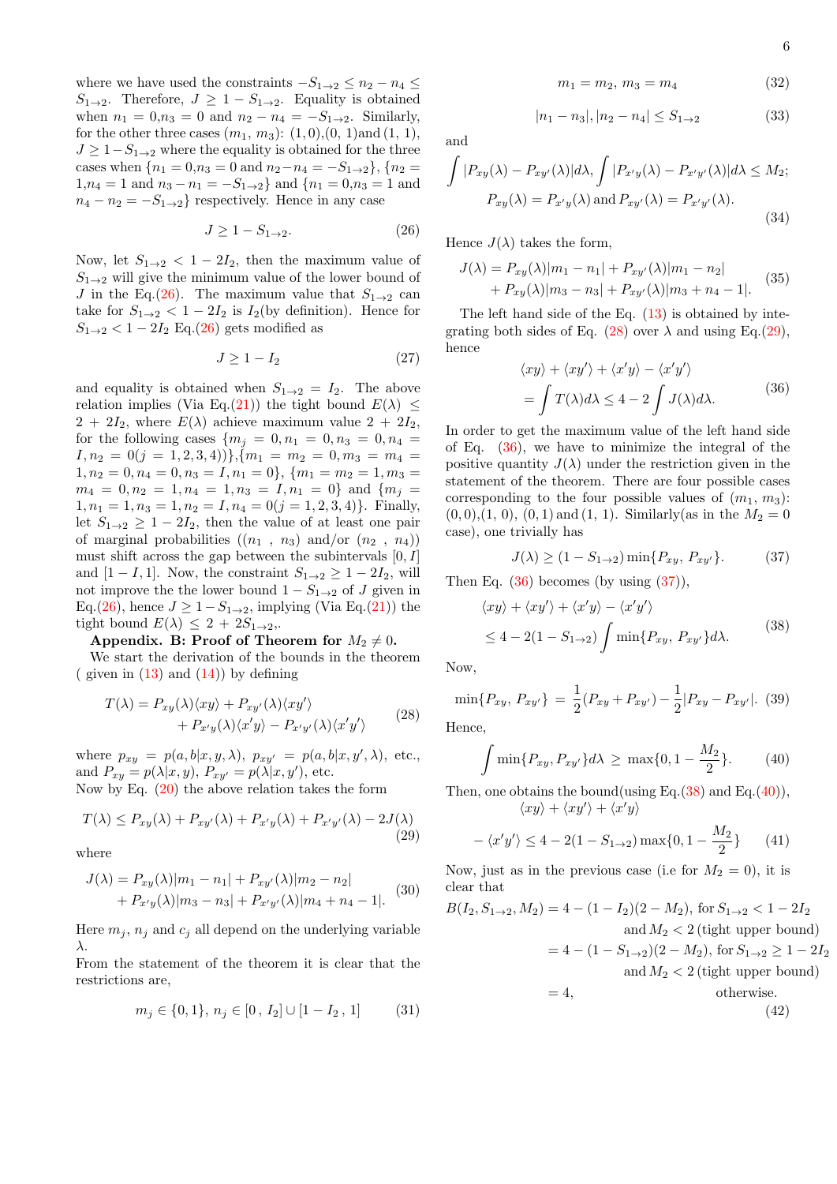where we have used the constraints  $-S_{1\rightarrow 2} \leq n_2 - n_4 \leq$  $S_{1\rightarrow 2}$ . Therefore,  $J \geq 1 - S_{1\rightarrow 2}$ . Equality is obtained when  $n_1 = 0, n_3 = 0$  and  $n_2 - n_4 = -S_{1 \to 2}$ . Similarly, for the other three cases  $(m_1, m_3)$ :  $(1, 0), (0, 1)$  and  $(1, 1),$  $J \geq 1-S_{1\rightarrow 2}$  where the equality is obtained for the three cases when  ${n_1 = 0, n_3 = 0 \text{ and } n_2 - n_4 = -S_{1\rightarrow 2}}, {n_2 =$  $1, n_4 = 1$  and  $n_3 - n_1 = -S_{1 \to 2}$  and  $\{n_1 = 0, n_3 = 1 \text{ and } n_4 = 1 \text{ and } n_5 = 1 \text{ and } n_6 = 1 \text{ and } n_7 = 1 \text{ and } n_8 = 1 \text{ and } n_9 = 1 \text{ and } n_{10} = 1 \text{ and } n_{11} = 1 \text{ and } n_{12} = 1 \text{ and } n_{13} = 1 \text{ and } n_{14} = 1 \text{ and } n_{15} = 1 \text{ and } n_{16} = 1 \text{ and } n_{17$  $n_4 - n_2 = -S_{1\rightarrow 2}$  respectively. Hence in any case

<span id="page-5-0"></span>
$$
J \ge 1 - S_{1 \to 2}.\tag{26}
$$

Now, let  $S_{1\rightarrow 2} < 1-2I_2$ , then the maximum value of  $S_{1\rightarrow 2}$  will give the minimum value of the lower bound of J in the Eq.[\(26\)](#page-5-0). The maximum value that  $S_{1\rightarrow 2}$  can take for  $S_{1\rightarrow 2} < 1-2I_2$  is  $I_2$ (by definition). Hence for  $S_{1\rightarrow 2}$  < 1 – 2 $I_2$  Eq.[\(26\)](#page-5-0) gets modified as

$$
J \ge 1 - I_2 \tag{27}
$$

and equality is obtained when  $S_{1\rightarrow 2} = I_2$ . The above relation implies (Via Eq.[\(21\)](#page-4-21)) the tight bound  $E(\lambda) \leq$  $2 + 2I_2$ , where  $E(\lambda)$  achieve maximum value  $2 + 2I_2$ , for the following cases  ${m_i = 0, n_1 = 0, n_3 = 0, n_4 =}$  $I, n_2 = 0(j = 1, 2, 3, 4))\}, \{m_1 = m_2 = 0, m_3 = m_4 =$  $1, n_2 = 0, n_4 = 0, n_3 = I, n_1 = 0\}, \{m_1 = m_2 = 1, m_3 =$  $m_4 = 0, n_2 = 1, n_4 = 1, n_3 = I, n_1 = 0$ } and  $\{m_j =$  $1, n_1 = 1, n_3 = 1, n_2 = I, n_4 = 0(j = 1, 2, 3, 4)$ . Finally, let  $S_{1\rightarrow 2} \geq 1-2I_2$ , then the value of at least one pair of marginal probabilities  $((n_1, n_3)$  and/or  $(n_2, n_4))$ must shift across the gap between the subintervals  $[0, I]$ and  $[1 - I, 1]$ . Now, the constraint  $S_{1\rightarrow 2} \geq 1 - 2I_2$ , will not improve the the lower bound  $1 - S_{1\rightarrow 2}$  of J given in Eq.[\(26\)](#page-5-0), hence  $J \ge 1-S_{1\rightarrow 2}$ , implying (Via Eq.[\(21\)](#page-4-21)) the tight bound  $E(\lambda) \leq 2 + 2S_{1\rightarrow 2}$ .

## Appendix. B: Proof of Theorem for  $M_2 \neq 0$ .

We start the derivation of the bounds in the theorem  $\left($  given in  $(13)$  and  $(14)$ ) by defining

<span id="page-5-1"></span>
$$
T(\lambda) = P_{xy}(\lambda) \langle xy \rangle + P_{xy'}(\lambda) \langle xy' \rangle + P_{x'y}(\lambda) \langle x'y \rangle - P_{x'y'}(\lambda) \langle x'y' \rangle
$$
 (28)

where  $p_{xy} = p(a, b|x, y, \lambda), p_{xy'} = p(a, b|x, y', \lambda),$  etc., and  $P_{xy} = p(\lambda|x, y), P_{xy'} = p(\lambda|x, y'),$  etc. Now by Eq. [\(20\)](#page-4-22) the above relation takes the form

<span id="page-5-2"></span>
$$
T(\lambda) \le P_{xy}(\lambda) + P_{xy'}(\lambda) + P_{x'y}(\lambda) + P_{x'y'}(\lambda) - 2J(\lambda)
$$
\n(29)

where

$$
J(\lambda) = P_{xy}(\lambda)|m_1 - n_1| + P_{xy'}(\lambda)|m_2 - n_2| + P_{x'y}(\lambda)|m_3 - n_3| + P_{x'y'}(\lambda)|m_4 + n_4 - 1|.
$$
 (30)

Here  $m_i$ ,  $n_i$  and  $c_i$  all depend on the underlying variable λ.

From the statement of the theorem it is clear that the restrictions are,

$$
m_j \in \{0, 1\}, n_j \in [0, I_2] \cup [1 - I_2, 1] \tag{31}
$$

$$
m_1 = m_2, \, m_3 = m_4 \tag{32}
$$

$$
|n_1 - n_3|, |n_2 - n_4| \le S_{1 \to 2} \tag{33}
$$

and

$$
\int |P_{xy}(\lambda) - P_{xy'}(\lambda)| d\lambda, \int |P_{x'y}(\lambda) - P_{x'y'}(\lambda)| d\lambda \le M_2;
$$
  

$$
P_{xy}(\lambda) = P_{x'y}(\lambda) \text{ and } P_{xy'}(\lambda) = P_{x'y'}(\lambda).
$$
 (34)

Hence  $J(\lambda)$  takes the form,

$$
J(\lambda) = P_{xy}(\lambda)|m_1 - n_1| + P_{xy'}(\lambda)|m_1 - n_2| + P_{xy}(\lambda)|m_3 - n_3| + P_{xy'}(\lambda)|m_3 + n_4 - 1|.
$$
 (35)

The left hand side of the Eq. [\(13\)](#page-2-3) is obtained by inte-grating both sides of Eq. [\(28\)](#page-5-1) over  $\lambda$  and using Eq.[\(29\)](#page-5-2), hence

$$
\langle xy \rangle + \langle xy' \rangle + \langle x'y \rangle - \langle x'y' \rangle
$$
  
=  $\int T(\lambda) d\lambda \le 4 - 2 \int J(\lambda) d\lambda.$  (36)

<span id="page-5-3"></span>In order to get the maximum value of the left hand side of Eq. [\(36\)](#page-5-3), we have to minimize the integral of the positive quantity  $J(\lambda)$  under the restriction given in the statement of the theorem. There are four possible cases corresponding to the four possible values of  $(m_1, m_3)$ :  $(0,0),(1,0), (0,1)$  and  $(1, 1)$ . Similarly(as in the  $M_2 = 0$ case), one trivially has

<span id="page-5-4"></span>
$$
J(\lambda) \ge (1 - S_{1 \to 2}) \min\{P_{xy}, P_{xy'}\}.
$$
 (37)

<span id="page-5-5"></span>Then Eq.  $(36)$  becomes (by using  $(37)$ ),

$$
\langle xy \rangle + \langle xy' \rangle + \langle x'y \rangle - \langle x'y' \rangle
$$
  
\n
$$
\leq 4 - 2(1 - S_{1 \to 2}) \int \min\{P_{xy}, P_{xy'}\} d\lambda.
$$
 (38)

Now,

$$
\min\{P_{xy}, P_{xy'}\} = \frac{1}{2}(P_{xy} + P_{xy'}) - \frac{1}{2}|P_{xy} - P_{xy'}|.
$$
 (39)

Hence,

 $\overline{\phantom{a}}$ 

<span id="page-5-6"></span>
$$
\int \min\{P_{xy}, P_{xy'}\} d\lambda \ge \max\{0, 1 - \frac{M_2}{2}\}.
$$
 (40)

Then, one obtains the bound(using Eq. $(38)$  and Eq. $(40)$ ),  $\langle xy \rangle + \langle xy' \rangle + \langle x'y \rangle$ 

$$
-\langle x'y'\rangle \le 4 - 2(1 - S_{1\to 2}) \max\{0, 1 - \frac{M_2}{2}\}\qquad(41)
$$

Now, just as in the previous case (i.e for  $M_2 = 0$ ), it is clear that

$$
B(I_2, S_{1\to 2}, M_2) = 4 - (1 - I_2)(2 - M_2), \text{ for } S_{1\to 2} < 1 - 2I_2
$$
  
and  $M_2 < 2$  (tight upper bound)  

$$
= 4 - (1 - S_{1\to 2})(2 - M_2), \text{ for } S_{1\to 2} \ge 1 - 2I_2
$$
  
and  $M_2 < 2$  (tight upper bound)  

$$
= 4,
$$
 otherwise.  
(42)